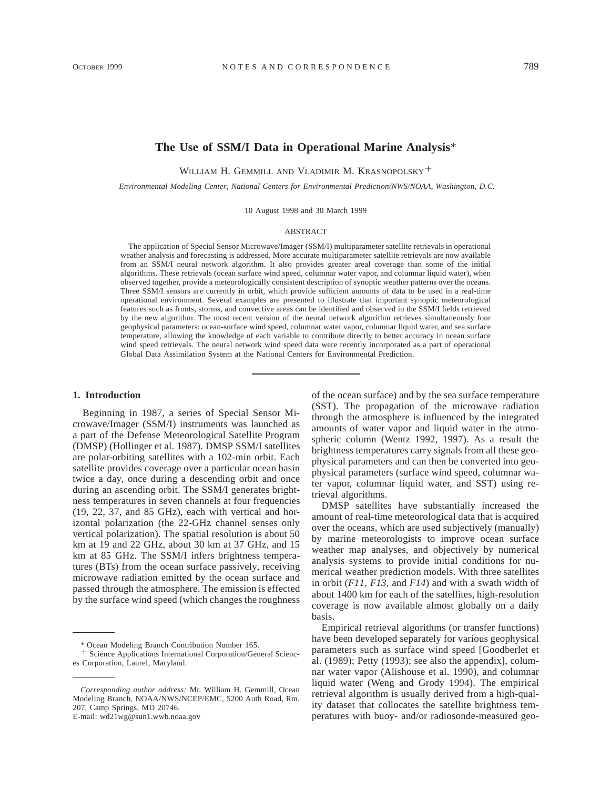# **The Use of SSM/I Data in Operational Marine Analysis**\*

WILLIAM H. GEMMILL AND VLADIMIR M. KRASNOPOLSKY<sup>+</sup>

*Environmental Modeling Center, National Centers for Environmental Prediction/NWS/NOAA, Washington, D.C.*

10 August 1998 and 30 March 1999

## ABSTRACT

The application of Special Sensor Microwave/Imager (SSM/I) multiparameter satellite retrievals in operational weather analysis and forecasting is addressed. More accurate multiparameter satellite retrievals are now available from an SSM/I neural network algorithm. It also provides greater areal coverage than some of the initial algorithms. These retrievals (ocean surface wind speed, columnar water vapor, and columnar liquid water), when observed together, provide a meteorologically consistent description of synoptic weather patterns over the oceans. Three SSM/I sensors are currently in orbit, which provide sufficient amounts of data to be used in a real-time operational environment. Several examples are presented to illustrate that important synoptic meteorological features such as fronts, storms, and convective areas can be identified and observed in the SSM/I fields retrieved by the new algorithm. The most recent version of the neural network algorithm retrieves simultaneously four geophysical parameters: ocean-surface wind speed, columnar water vapor, columnar liquid water, and sea surface temperature, allowing the knowledge of each variable to contribute directly to better accuracy in ocean surface wind speed retrievals. The neural network wind speed data were recently incorporated as a part of operational Global Data Assimilation System at the National Centers for Environmental Prediction.

## **1. Introduction**

Beginning in 1987, a series of Special Sensor Microwave/Imager (SSM/I) instruments was launched as a part of the Defense Meteorological Satellite Program (DMSP) (Hollinger et al. 1987). DMSP SSM/I satellites are polar-orbiting satellites with a 102-min orbit. Each satellite provides coverage over a particular ocean basin twice a day, once during a descending orbit and once during an ascending orbit. The SSM/I generates brightness temperatures in seven channels at four frequencies (19, 22, 37, and 85 GHz), each with vertical and horizontal polarization (the 22-GHz channel senses only vertical polarization). The spatial resolution is about 50 km at 19 and 22 GHz, about 30 km at 37 GHz, and 15 km at 85 GHz. The SSM/I infers brightness temperatures (BTs) from the ocean surface passively, receiving microwave radiation emitted by the ocean surface and passed through the atmosphere. The emission is effected by the surface wind speed (which changes the roughness

E-mail: wd21wg@sun1.wwb.noaa.gov

of the ocean surface) and by the sea surface temperature (SST). The propagation of the microwave radiation through the atmosphere is influenced by the integrated amounts of water vapor and liquid water in the atmospheric column (Wentz 1992, 1997). As a result the brightness temperatures carry signals from all these geophysical parameters and can then be converted into geophysical parameters (surface wind speed, columnar water vapor, columnar liquid water, and SST) using retrieval algorithms.

DMSP satellites have substantially increased the amount of real-time meteorological data that is acquired over the oceans, which are used subjectively (manually) by marine meteorologists to improve ocean surface weather map analyses, and objectively by numerical analysis systems to provide initial conditions for numerical weather prediction models. With three satellites in orbit (*F11, F13,* and *F14*) and with a swath width of about 1400 km for each of the satellites, high-resolution coverage is now available almost globally on a daily basis.

Empirical retrieval algorithms (or transfer functions) have been developed separately for various geophysical parameters such as surface wind speed [Goodberlet et al. (1989); Petty (1993); see also the appendix], columnar water vapor (Alishouse et al. 1990), and columnar liquid water (Weng and Grody 1994). The empirical retrieval algorithm is usually derived from a high-quality dataset that collocates the satellite brightness temperatures with buoy- and/or radiosonde-measured geo-

<sup>\*</sup> Ocean Modeling Branch Contribution Number 165.

<sup>1</sup> Science Applications International Corporation/General Sciences Corporation, Laurel, Maryland.

*Corresponding author address:* Mr. William H. Gemmill, Ocean Modeling Branch, NOAA/NWS/NCEP/EMC, 5200 Auth Road, Rm. 207, Camp Springs, MD 20746.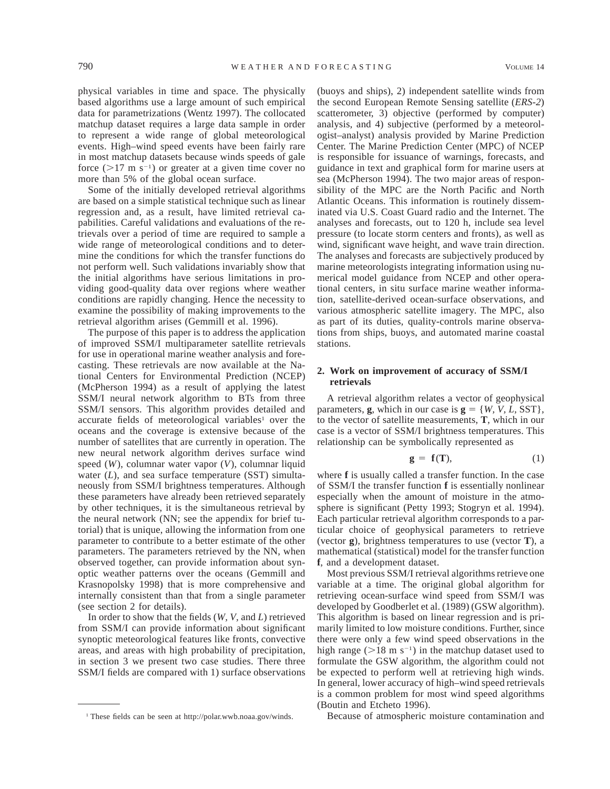physical variables in time and space. The physically based algorithms use a large amount of such empirical data for parametrizations (Wentz 1997). The collocated matchup dataset requires a large data sample in order to represent a wide range of global meteorological events. High–wind speed events have been fairly rare in most matchup datasets because winds speeds of gale force  $(>17 \text{ m s}^{-1})$  or greater at a given time cover no more than 5% of the global ocean surface.

Some of the initially developed retrieval algorithms are based on a simple statistical technique such as linear regression and, as a result, have limited retrieval capabilities. Careful validations and evaluations of the retrievals over a period of time are required to sample a wide range of meteorological conditions and to determine the conditions for which the transfer functions do not perform well. Such validations invariably show that the initial algorithms have serious limitations in providing good-quality data over regions where weather conditions are rapidly changing. Hence the necessity to examine the possibility of making improvements to the retrieval algorithm arises (Gemmill et al. 1996).

The purpose of this paper is to address the application of improved SSM/I multiparameter satellite retrievals for use in operational marine weather analysis and forecasting. These retrievals are now available at the National Centers for Environmental Prediction (NCEP) (McPherson 1994) as a result of applying the latest SSM/I neural network algorithm to BTs from three SSM/I sensors. This algorithm provides detailed and accurate fields of meteorological variables<sup>1</sup> over the oceans and the coverage is extensive because of the number of satellites that are currently in operation. The new neural network algorithm derives surface wind speed (*W*), columnar water vapor (*V*), columnar liquid water (*L*), and sea surface temperature (SST) simultaneously from SSM/I brightness temperatures. Although these parameters have already been retrieved separately by other techniques, it is the simultaneous retrieval by the neural network (NN; see the appendix for brief tutorial) that is unique, allowing the information from one parameter to contribute to a better estimate of the other parameters. The parameters retrieved by the NN, when observed together, can provide information about synoptic weather patterns over the oceans (Gemmill and Krasnopolsky 1998) that is more comprehensive and internally consistent than that from a single parameter (see section 2 for details).

In order to show that the fields (*W, V,* and *L*) retrieved from SSM/I can provide information about significant synoptic meteorological features like fronts, convective areas, and areas with high probability of precipitation, in section 3 we present two case studies. There three SSM/I fields are compared with 1) surface observations

(buoys and ships), 2) independent satellite winds from the second European Remote Sensing satellite (*ERS-2*) scatterometer, 3) objective (performed by computer) analysis, and 4) subjective (performed by a meteorologist–analyst) analysis provided by Marine Prediction Center. The Marine Prediction Center (MPC) of NCEP is responsible for issuance of warnings, forecasts, and guidance in text and graphical form for marine users at sea (McPherson 1994). The two major areas of responsibility of the MPC are the North Pacific and North Atlantic Oceans. This information is routinely disseminated via U.S. Coast Guard radio and the Internet. The analyses and forecasts, out to 120 h, include sea level pressure (to locate storm centers and fronts), as well as wind, significant wave height, and wave train direction. The analyses and forecasts are subjectively produced by marine meteorologists integrating information using numerical model guidance from NCEP and other operational centers, in situ surface marine weather information, satellite-derived ocean-surface observations, and various atmospheric satellite imagery. The MPC, also as part of its duties, quality-controls marine observations from ships, buoys, and automated marine coastal stations.

# **2. Work on improvement of accuracy of SSM/I retrievals**

A retrieval algorithm relates a vector of geophysical parameters, **g**, which in our case is  $\mathbf{g} = \{W, V, L, SST\},\$ to the vector of satellite measurements, **T**, which in our case is a vector of SSM/I brightness temperatures. This relationship can be symbolically represented as

$$
\mathbf{g} = \mathbf{f}(\mathbf{T}),\tag{1}
$$

where **f** is usually called a transfer function. In the case of SSM/I the transfer function **f** is essentially nonlinear especially when the amount of moisture in the atmosphere is significant (Petty 1993; Stogryn et al. 1994). Each particular retrieval algorithm corresponds to a particular choice of geophysical parameters to retrieve (vector **g**), brightness temperatures to use (vector **T**), a mathematical (statistical) model for the transfer function **f**, and a development dataset.

Most previous SSM/I retrieval algorithms retrieve one variable at a time. The original global algorithm for retrieving ocean-surface wind speed from SSM/I was developed by Goodberlet et al. (1989) (GSW algorithm). This algorithm is based on linear regression and is primarily limited to low moisture conditions. Further, since there were only a few wind speed observations in the high range ( $>18$  m s<sup>-1</sup>) in the matchup dataset used to formulate the GSW algorithm, the algorithm could not be expected to perform well at retrieving high winds. In general, lower accuracy of high–wind speed retrievals is a common problem for most wind speed algorithms (Boutin and Etcheto 1996).

Because of atmospheric moisture contamination and

<sup>1</sup> These fields can be seen at http://polar.wwb.noaa.gov/winds.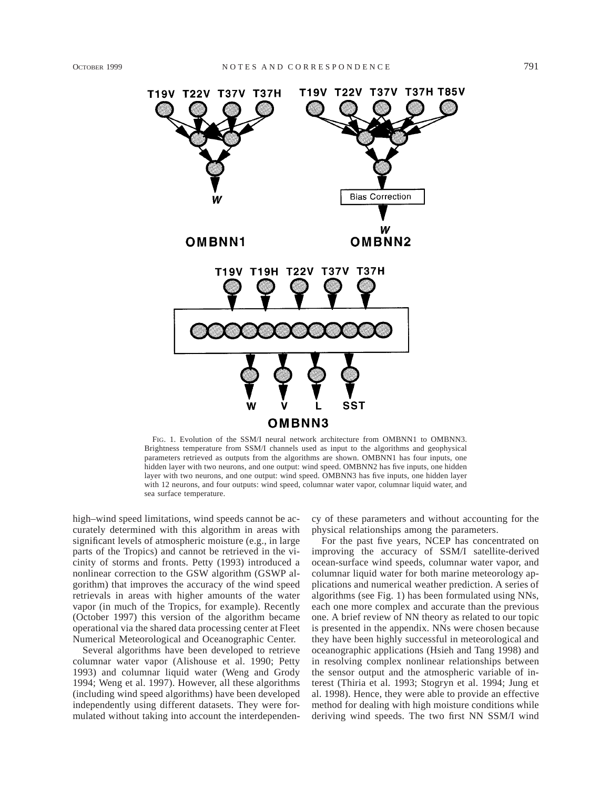

FIG. 1. Evolution of the SSM/I neural network architecture from OMBNN1 to OMBNN3. Brightness temperature from SSM/I channels used as input to the algorithms and geophysical parameters retrieved as outputs from the algorithms are shown. OMBNN1 has four inputs, one hidden layer with two neurons, and one output: wind speed. OMBNN2 has five inputs, one hidden layer with two neurons, and one output: wind speed. OMBNN3 has five inputs, one hidden layer with 12 neurons, and four outputs: wind speed, columnar water vapor, columnar liquid water, and sea surface temperature.

high–wind speed limitations, wind speeds cannot be accurately determined with this algorithm in areas with significant levels of atmospheric moisture (e.g., in large parts of the Tropics) and cannot be retrieved in the vicinity of storms and fronts. Petty (1993) introduced a nonlinear correction to the GSW algorithm (GSWP algorithm) that improves the accuracy of the wind speed retrievals in areas with higher amounts of the water vapor (in much of the Tropics, for example). Recently (October 1997) this version of the algorithm became operational via the shared data processing center at Fleet Numerical Meteorological and Oceanographic Center.

Several algorithms have been developed to retrieve columnar water vapor (Alishouse et al. 1990; Petty 1993) and columnar liquid water (Weng and Grody 1994; Weng et al. 1997). However, all these algorithms (including wind speed algorithms) have been developed independently using different datasets. They were formulated without taking into account the interdependency of these parameters and without accounting for the physical relationships among the parameters.

For the past five years, NCEP has concentrated on improving the accuracy of SSM/I satellite-derived ocean-surface wind speeds, columnar water vapor, and columnar liquid water for both marine meteorology applications and numerical weather prediction. A series of algorithms (see Fig. 1) has been formulated using NNs, each one more complex and accurate than the previous one. A brief review of NN theory as related to our topic is presented in the appendix. NNs were chosen because they have been highly successful in meteorological and oceanographic applications (Hsieh and Tang 1998) and in resolving complex nonlinear relationships between the sensor output and the atmospheric variable of interest (Thiria et al. 1993; Stogryn et al. 1994; Jung et al. 1998). Hence, they were able to provide an effective method for dealing with high moisture conditions while deriving wind speeds. The two first NN SSM/I wind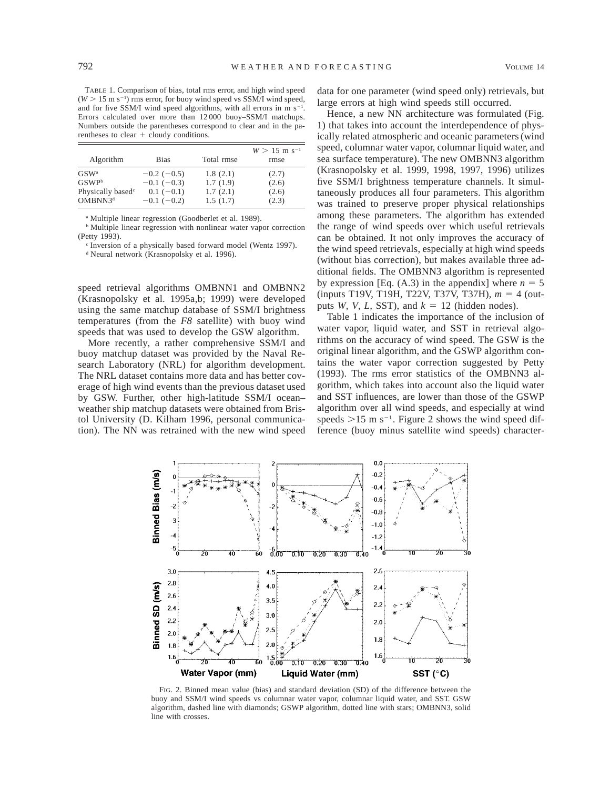TABLE 1. Comparison of bias, total rms error, and high wind speed  $(W > 15 \text{ m s}^{-1})$  rms error, for buoy wind speed vs SSM/I wind speed, and for five SSM/I wind speed algorithms, with all errors in  $m s^{-1}$ . Errors calculated over more than 12 000 buoy–SSM/I matchups. Numbers outside the parentheses correspond to clear and in the parentheses to clear  $+$  cloudy conditions.

| Algorithm                     | <b>Bias</b>   | Total rmse | $W > 15$ m s <sup>-1</sup><br>rmse |
|-------------------------------|---------------|------------|------------------------------------|
| GSW <sup>a</sup>              | $-0.2$ (-0.5) | 1.8(2.1)   | (2.7)                              |
| <b>GSWP</b> b                 | $-0.1$ (-0.3) | 1.7(1.9)   | (2.6)                              |
| Physically based <sup>c</sup> | $0.1(-0.1)$   | 1.7(2.1)   | (2.6)                              |
| OMBNN3 <sup>d</sup>           | $-0.1(-0.2)$  | 1.5(1.7)   | (2.3)                              |

<sup>a</sup> Multiple linear regression (Goodberlet et al. 1989).

<sup>b</sup> Multiple linear regression with nonlinear water vapor correction (Petty 1993).

<sup>c</sup> Inversion of a physically based forward model (Wentz 1997). <sup>d</sup> Neural network (Krasnopolsky et al. 1996).

speed retrieval algorithms OMBNN1 and OMBNN2 (Krasnopolsky et al. 1995a,b; 1999) were developed using the same matchup database of SSM/I brightness temperatures (from the *F8* satellite) with buoy wind speeds that was used to develop the GSW algorithm.

More recently, a rather comprehensive SSM/I and buoy matchup dataset was provided by the Naval Research Laboratory (NRL) for algorithm development. The NRL dataset contains more data and has better coverage of high wind events than the previous dataset used by GSW. Further, other high-latitude SSM/I ocean– weather ship matchup datasets were obtained from Bristol University (D. Kilham 1996, personal communication). The NN was retrained with the new wind speed data for one parameter (wind speed only) retrievals, but large errors at high wind speeds still occurred.

Hence, a new NN architecture was formulated (Fig. 1) that takes into account the interdependence of physically related atmospheric and oceanic parameters (wind speed, columnar water vapor, columnar liquid water, and sea surface temperature). The new OMBNN3 algorithm (Krasnopolsky et al. 1999, 1998, 1997, 1996) utilizes five SSM/I brightness temperature channels. It simultaneously produces all four parameters. This algorithm was trained to preserve proper physical relationships among these parameters. The algorithm has extended the range of wind speeds over which useful retrievals can be obtained. It not only improves the accuracy of the wind speed retrievals, especially at high wind speeds (without bias correction), but makes available three additional fields. The OMBNN3 algorithm is represented by expression [Eq.  $(A.3)$  in the appendix] where  $n = 5$ (inputs T19V, T19H, T22V, T37V, T37H),  $m = 4$  (outputs *W, V, L, SST*), and  $k = 12$  (hidden nodes).

Table 1 indicates the importance of the inclusion of water vapor, liquid water, and SST in retrieval algorithms on the accuracy of wind speed. The GSW is the original linear algorithm, and the GSWP algorithm contains the water vapor correction suggested by Petty (1993). The rms error statistics of the OMBNN3 algorithm, which takes into account also the liquid water and SST influences, are lower than those of the GSWP algorithm over all wind speeds, and especially at wind speeds  $>15$  m s<sup>-1</sup>. Figure 2 shows the wind speed difference (buoy minus satellite wind speeds) character-



FIG. 2. Binned mean value (bias) and standard deviation (SD) of the difference between the buoy and SSM/I wind speeds vs columnar water vapor, columnar liquid water, and SST. GSW algorithm, dashed line with diamonds; GSWP algorithm, dotted line with stars; OMBNN3, solid line with crosses.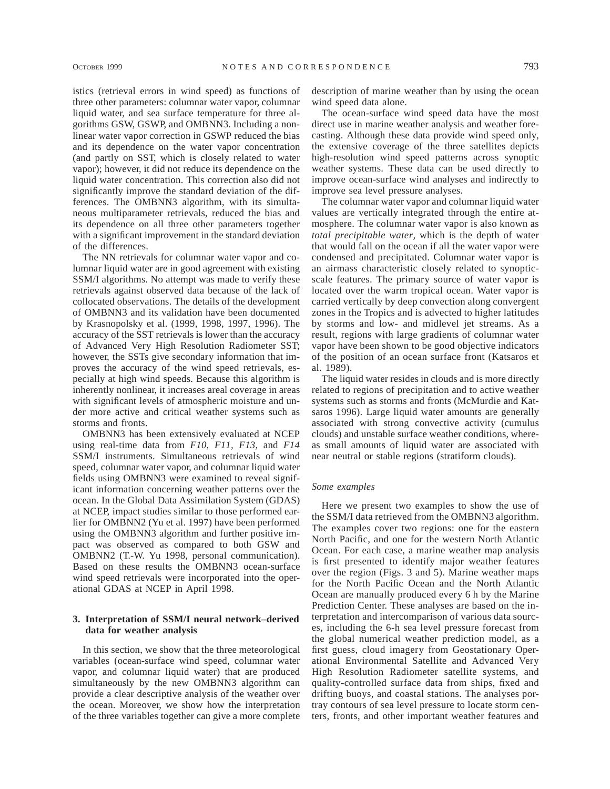istics (retrieval errors in wind speed) as functions of three other parameters: columnar water vapor, columnar liquid water, and sea surface temperature for three algorithms GSW, GSWP, and OMBNN3. Including a nonlinear water vapor correction in GSWP reduced the bias and its dependence on the water vapor concentration (and partly on SST, which is closely related to water vapor); however, it did not reduce its dependence on the liquid water concentration. This correction also did not significantly improve the standard deviation of the differences. The OMBNN3 algorithm, with its simultaneous multiparameter retrievals, reduced the bias and its dependence on all three other parameters together with a significant improvement in the standard deviation of the differences.

The NN retrievals for columnar water vapor and columnar liquid water are in good agreement with existing SSM/I algorithms. No attempt was made to verify these retrievals against observed data because of the lack of collocated observations. The details of the development of OMBNN3 and its validation have been documented by Krasnopolsky et al. (1999, 1998, 1997, 1996). The accuracy of the SST retrievals is lower than the accuracy of Advanced Very High Resolution Radiometer SST; however, the SSTs give secondary information that improves the accuracy of the wind speed retrievals, especially at high wind speeds. Because this algorithm is inherently nonlinear, it increases areal coverage in areas with significant levels of atmospheric moisture and under more active and critical weather systems such as storms and fronts.

OMBNN3 has been extensively evaluated at NCEP using real-time data from *F10, F11, F13,* and *F14* SSM/I instruments. Simultaneous retrievals of wind speed, columnar water vapor, and columnar liquid water fields using OMBNN3 were examined to reveal significant information concerning weather patterns over the ocean. In the Global Data Assimilation System (GDAS) at NCEP, impact studies similar to those performed earlier for OMBNN2 (Yu et al. 1997) have been performed using the OMBNN3 algorithm and further positive impact was observed as compared to both GSW and OMBNN2 (T.-W. Yu 1998, personal communication). Based on these results the OMBNN3 ocean-surface wind speed retrievals were incorporated into the operational GDAS at NCEP in April 1998.

## **3. Interpretation of SSM/I neural network–derived data for weather analysis**

In this section, we show that the three meteorological variables (ocean-surface wind speed, columnar water vapor, and columnar liquid water) that are produced simultaneously by the new OMBNN3 algorithm can provide a clear descriptive analysis of the weather over the ocean. Moreover, we show how the interpretation of the three variables together can give a more complete description of marine weather than by using the ocean wind speed data alone.

The ocean-surface wind speed data have the most direct use in marine weather analysis and weather forecasting. Although these data provide wind speed only, the extensive coverage of the three satellites depicts high-resolution wind speed patterns across synoptic weather systems. These data can be used directly to improve ocean-surface wind analyses and indirectly to improve sea level pressure analyses.

The columnar water vapor and columnar liquid water values are vertically integrated through the entire atmosphere. The columnar water vapor is also known as *total precipitable water,* which is the depth of water that would fall on the ocean if all the water vapor were condensed and precipitated. Columnar water vapor is an airmass characteristic closely related to synopticscale features. The primary source of water vapor is located over the warm tropical ocean. Water vapor is carried vertically by deep convection along convergent zones in the Tropics and is advected to higher latitudes by storms and low- and midlevel jet streams. As a result, regions with large gradients of columnar water vapor have been shown to be good objective indicators of the position of an ocean surface front (Katsaros et al. 1989).

The liquid water resides in clouds and is more directly related to regions of precipitation and to active weather systems such as storms and fronts (McMurdie and Katsaros 1996). Large liquid water amounts are generally associated with strong convective activity (cumulus clouds) and unstable surface weather conditions, whereas small amounts of liquid water are associated with near neutral or stable regions (stratiform clouds).

#### *Some examples*

Here we present two examples to show the use of the SSM/I data retrieved from the OMBNN3 algorithm. The examples cover two regions: one for the eastern North Pacific, and one for the western North Atlantic Ocean. For each case, a marine weather map analysis is first presented to identify major weather features over the region (Figs. 3 and 5). Marine weather maps for the North Pacific Ocean and the North Atlantic Ocean are manually produced every 6 h by the Marine Prediction Center. These analyses are based on the interpretation and intercomparison of various data sources, including the 6-h sea level pressure forecast from the global numerical weather prediction model, as a first guess, cloud imagery from Geostationary Operational Environmental Satellite and Advanced Very High Resolution Radiometer satellite systems, and quality-controlled surface data from ships, fixed and drifting buoys, and coastal stations. The analyses portray contours of sea level pressure to locate storm centers, fronts, and other important weather features and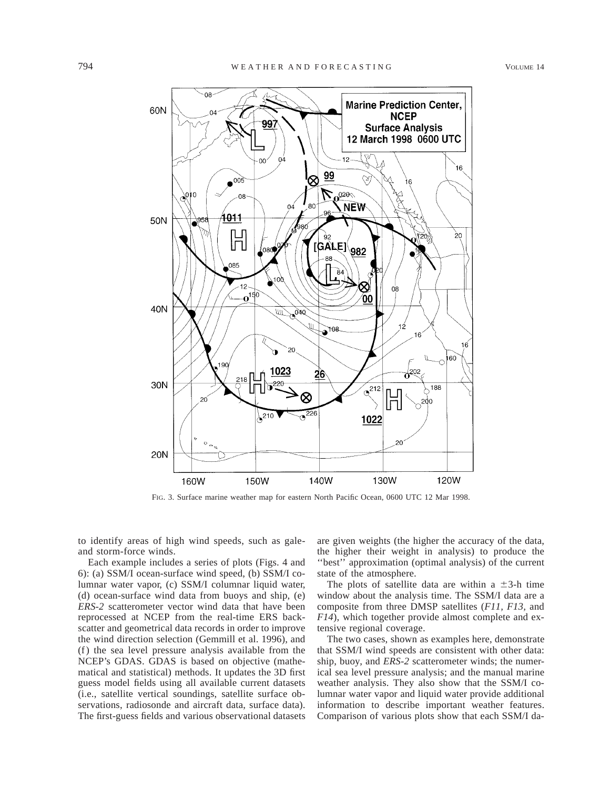

FIG. 3. Surface marine weather map for eastern North Pacific Ocean, 0600 UTC 12 Mar 1998.

to identify areas of high wind speeds, such as galeand storm-force winds.

Each example includes a series of plots (Figs. 4 and 6): (a) SSM/I ocean-surface wind speed, (b) SSM/I columnar water vapor, (c) SSM/I columnar liquid water, (d) ocean-surface wind data from buoys and ship, (e) *ERS-2* scatterometer vector wind data that have been reprocessed at NCEP from the real-time ERS backscatter and geometrical data records in order to improve the wind direction selection (Gemmill et al. 1996), and (f) the sea level pressure analysis available from the NCEP's GDAS. GDAS is based on objective (mathematical and statistical) methods. It updates the 3D first guess model fields using all available current datasets (i.e., satellite vertical soundings, satellite surface observations, radiosonde and aircraft data, surface data). The first-guess fields and various observational datasets are given weights (the higher the accuracy of the data, the higher their weight in analysis) to produce the ''best'' approximation (optimal analysis) of the current state of the atmosphere.

The plots of satellite data are within a  $\pm$ 3-h time window about the analysis time. The SSM/I data are a composite from three DMSP satellites (*F11, F13,* and *F14*), which together provide almost complete and extensive regional coverage.

The two cases, shown as examples here, demonstrate that SSM/I wind speeds are consistent with other data: ship, buoy, and *ERS-2* scatterometer winds; the numerical sea level pressure analysis; and the manual marine weather analysis. They also show that the SSM/I columnar water vapor and liquid water provide additional information to describe important weather features. Comparison of various plots show that each SSM/I da-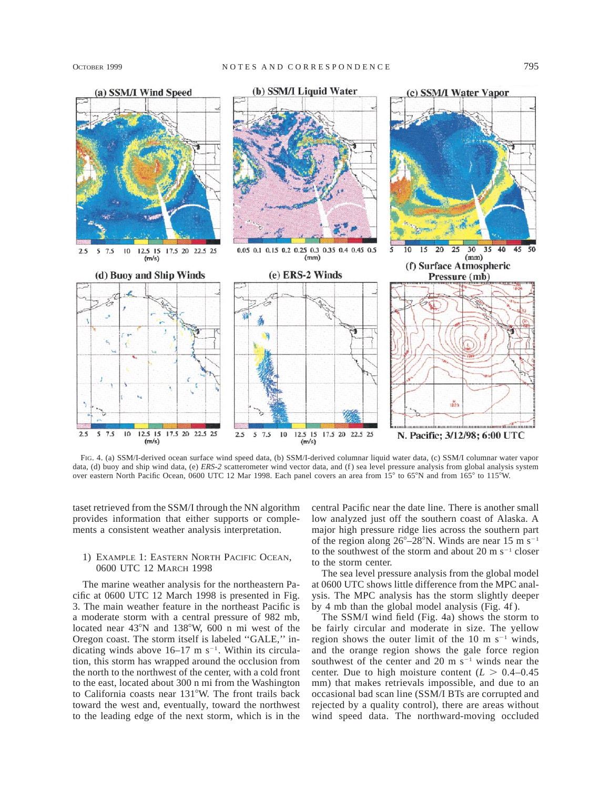

FIG. 4. (a) SSM/I-derived ocean surface wind speed data, (b) SSM/I-derived columnar liquid water data, (c) SSM/I columnar water vapor data, (d) buoy and ship wind data, (e) *ERS-2* scatterometer wind vector data, and (f) sea level pressure analysis from global analysis system over eastern North Pacific Ocean, 0600 UTC 12 Mar 1998. Each panel covers an area from 15° to 65°N and from 165° to 115°W.

taset retrieved from the SSM/I through the NN algorithm provides information that either supports or complements a consistent weather analysis interpretation.

## 1) EXAMPLE 1: EASTERN NORTH PACIFIC OCEAN, 0600 UTC 12 MARCH 1998

The marine weather analysis for the northeastern Pacific at 0600 UTC 12 March 1998 is presented in Fig. 3. The main weather feature in the northeast Pacific is a moderate storm with a central pressure of 982 mb, located near  $43^{\circ}$ N and  $138^{\circ}$ W, 600 n mi west of the Oregon coast. The storm itself is labeled ''GALE,'' indicating winds above  $16-17$  m s<sup>-1</sup>. Within its circulation, this storm has wrapped around the occlusion from the north to the northwest of the center, with a cold front to the east, located about 300 n mi from the Washington to California coasts near 131°W. The front trails back toward the west and, eventually, toward the northwest to the leading edge of the next storm, which is in the central Pacific near the date line. There is another small low analyzed just off the southern coast of Alaska. A major high pressure ridge lies across the southern part of the region along  $26^{\circ}-28^{\circ}$ N. Winds are near 15 m s<sup>-1</sup> to the southwest of the storm and about 20 m  $s^{-1}$  closer to the storm center.

The sea level pressure analysis from the global model at 0600 UTC shows little difference from the MPC analysis. The MPC analysis has the storm slightly deeper by 4 mb than the global model analysis (Fig. 4f ).

The SSM/I wind field (Fig. 4a) shows the storm to be fairly circular and moderate in size. The yellow region shows the outer limit of the 10 m  $s^{-1}$  winds, and the orange region shows the gale force region southwest of the center and 20 m  $s^{-1}$  winds near the center. Due to high moisture content  $(L > 0.4-0.45)$ mm) that makes retrievals impossible, and due to an occasional bad scan line (SSM/I BTs are corrupted and rejected by a quality control), there are areas without wind speed data. The northward-moving occluded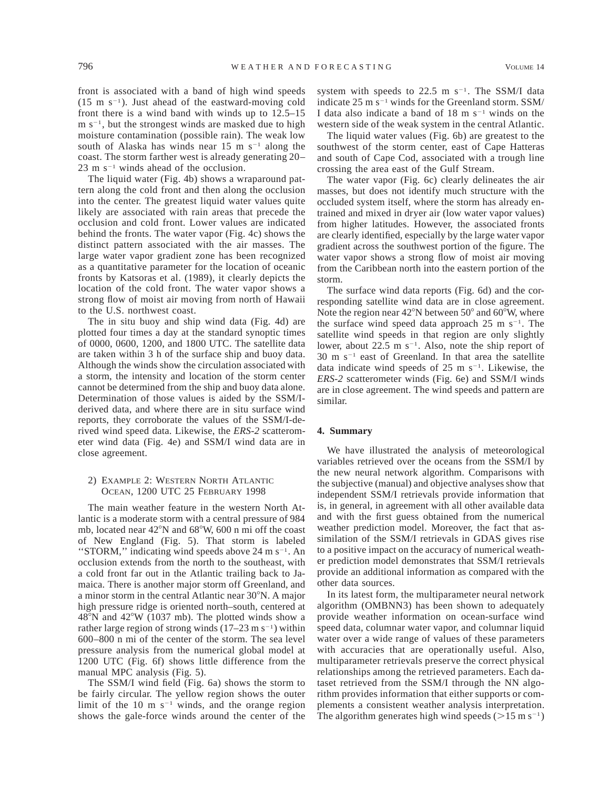front is associated with a band of high wind speeds  $(15 \text{ m s}^{-1})$ . Just ahead of the eastward-moving cold front there is a wind band with winds up to 12.5–15  $m s^{-1}$ , but the strongest winds are masked due to high moisture contamination (possible rain). The weak low south of Alaska has winds near  $15 \text{ m s}^{-1}$  along the coast. The storm farther west is already generating 20–  $23 \text{ m s}^{-1}$  winds ahead of the occlusion.

The liquid water (Fig. 4b) shows a wraparound pattern along the cold front and then along the occlusion into the center. The greatest liquid water values quite likely are associated with rain areas that precede the occlusion and cold front. Lower values are indicated behind the fronts. The water vapor (Fig. 4c) shows the distinct pattern associated with the air masses. The large water vapor gradient zone has been recognized as a quantitative parameter for the location of oceanic fronts by Katsoras et al. (1989), it clearly depicts the location of the cold front. The water vapor shows a strong flow of moist air moving from north of Hawaii to the U.S. northwest coast.

The in situ buoy and ship wind data (Fig. 4d) are plotted four times a day at the standard synoptic times of 0000, 0600, 1200, and 1800 UTC. The satellite data are taken within 3 h of the surface ship and buoy data. Although the winds show the circulation associated with a storm, the intensity and location of the storm center cannot be determined from the ship and buoy data alone. Determination of those values is aided by the SSM/Iderived data, and where there are in situ surface wind reports, they corroborate the values of the SSM/I-derived wind speed data. Likewise, the *ERS-2* scatterometer wind data (Fig. 4e) and SSM/I wind data are in close agreement.

### 2) EXAMPLE 2: WESTERN NORTH ATLANTIC OCEAN, 1200 UTC 25 FEBRUARY 1998

The main weather feature in the western North Atlantic is a moderate storm with a central pressure of 984 mb, located near  $42^{\circ}$ N and  $68^{\circ}$ W,  $600$  n mi off the coast of New England (Fig. 5). That storm is labeled "STORM," indicating wind speeds above  $24 \text{ m s}^{-1}$ . An occlusion extends from the north to the southeast, with a cold front far out in the Atlantic trailing back to Jamaica. There is another major storm off Greenland, and a minor storm in the central Atlantic near  $30^{\circ}$ N. A major high pressure ridge is oriented north–south, centered at  $48^{\circ}$ N and  $42^{\circ}$ W (1037 mb). The plotted winds show a rather large region of strong winds  $(17-23 \text{ m s}^{-1})$  within 600–800 n mi of the center of the storm. The sea level pressure analysis from the numerical global model at 1200 UTC (Fig. 6f) shows little difference from the manual MPC analysis (Fig. 5).

The SSM/I wind field (Fig. 6a) shows the storm to be fairly circular. The yellow region shows the outer limit of the  $10 \text{ m s}^{-1}$  winds, and the orange region shows the gale-force winds around the center of the

system with speeds to  $22.5$  m s<sup>-1</sup>. The SSM/I data indicate  $25 \text{ m s}^{-1}$  winds for the Greenland storm. SSM/ I data also indicate a band of  $18 \text{ m s}^{-1}$  winds on the western side of the weak system in the central Atlantic.

The liquid water values (Fig. 6b) are greatest to the southwest of the storm center, east of Cape Hatteras and south of Cape Cod, associated with a trough line crossing the area east of the Gulf Stream.

The water vapor (Fig. 6c) clearly delineates the air masses, but does not identify much structure with the occluded system itself, where the storm has already entrained and mixed in dryer air (low water vapor values) from higher latitudes. However, the associated fronts are clearly identified, especially by the large water vapor gradient across the southwest portion of the figure. The water vapor shows a strong flow of moist air moving from the Caribbean north into the eastern portion of the storm.

The surface wind data reports (Fig. 6d) and the corresponding satellite wind data are in close agreement. Note the region near  $42^{\circ}$ N between 50 $^{\circ}$  and 60 $^{\circ}$ W, where the surface wind speed data approach  $25 \text{ m s}^{-1}$ . The satellite wind speeds in that region are only slightly lower, about  $22.5 \text{ m s}^{-1}$ . Also, note the ship report of  $30 \text{ m s}^{-1}$  east of Greenland. In that area the satellite data indicate wind speeds of  $25 \text{ m s}^{-1}$ . Likewise, the *ERS-2* scatterometer winds (Fig. 6e) and SSM/I winds are in close agreement. The wind speeds and pattern are similar.

## **4. Summary**

We have illustrated the analysis of meteorological variables retrieved over the oceans from the SSM/I by the new neural network algorithm. Comparisons with the subjective (manual) and objective analyses show that independent SSM/I retrievals provide information that is, in general, in agreement with all other available data and with the first guess obtained from the numerical weather prediction model. Moreover, the fact that assimilation of the SSM/I retrievals in GDAS gives rise to a positive impact on the accuracy of numerical weather prediction model demonstrates that SSM/I retrievals provide an additional information as compared with the other data sources.

In its latest form, the multiparameter neural network algorithm (OMBNN3) has been shown to adequately provide weather information on ocean-surface wind speed data, columnar water vapor, and columnar liquid water over a wide range of values of these parameters with accuracies that are operationally useful. Also, multiparameter retrievals preserve the correct physical relationships among the retrieved parameters. Each dataset retrieved from the SSM/I through the NN algorithm provides information that either supports or complements a consistent weather analysis interpretation. The algorithm generates high wind speeds ( $>15$  m s<sup>-1</sup>)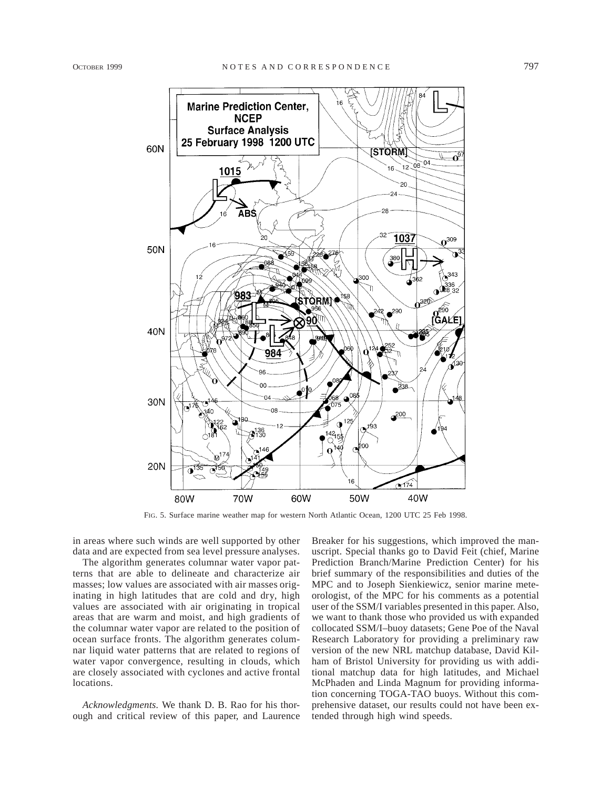

FIG. 5. Surface marine weather map for western North Atlantic Ocean, 1200 UTC 25 Feb 1998.

in areas where such winds are well supported by other data and are expected from sea level pressure analyses.

The algorithm generates columnar water vapor patterns that are able to delineate and characterize air masses; low values are associated with air masses originating in high latitudes that are cold and dry, high values are associated with air originating in tropical areas that are warm and moist, and high gradients of the columnar water vapor are related to the position of ocean surface fronts. The algorithm generates columnar liquid water patterns that are related to regions of water vapor convergence, resulting in clouds, which are closely associated with cyclones and active frontal locations.

*Acknowledgments.* We thank D. B. Rao for his thorough and critical review of this paper, and Laurence Breaker for his suggestions, which improved the manuscript. Special thanks go to David Feit (chief, Marine Prediction Branch/Marine Prediction Center) for his brief summary of the responsibilities and duties of the MPC and to Joseph Sienkiewicz, senior marine meteorologist, of the MPC for his comments as a potential user of the SSM/I variables presented in this paper. Also, we want to thank those who provided us with expanded collocated SSM/I–buoy datasets; Gene Poe of the Naval Research Laboratory for providing a preliminary raw version of the new NRL matchup database, David Kilham of Bristol University for providing us with additional matchup data for high latitudes, and Michael McPhaden and Linda Magnum for providing information concerning TOGA-TAO buoys. Without this comprehensive dataset, our results could not have been extended through high wind speeds.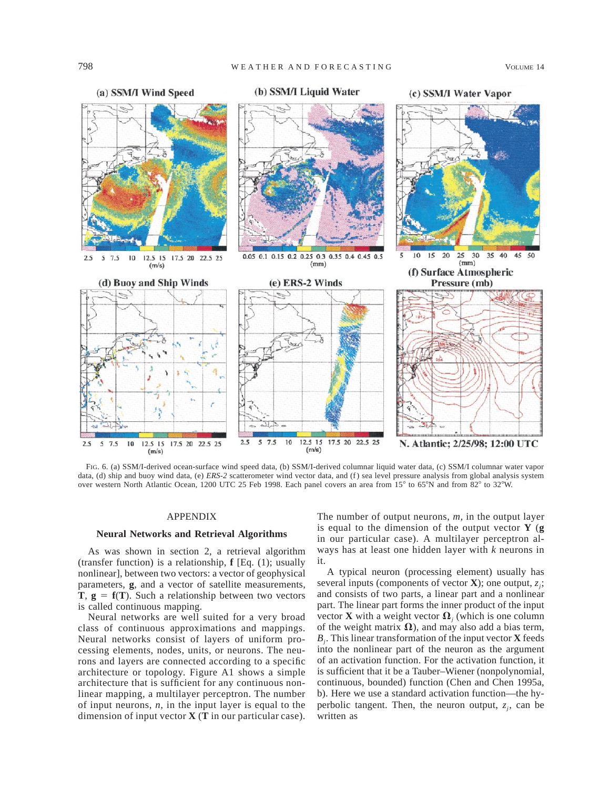

FIG. 6. (a) SSM/I-derived ocean-surface wind speed data, (b) SSM/I-derived columnar liquid water data, (c) SSM/I columnar water vapor data, (d) ship and buoy wind data, (e) *ERS-2* scatterometer wind vector data, and (f) sea level pressure analysis from global analysis system over western North Atlantic Ocean, 1200 UTC 25 Feb 1998. Each panel covers an area from 15° to 65°N and from 82° to 32°W.

## APPENDIX

#### **Neural Networks and Retrieval Algorithms**

As was shown in section 2, a retrieval algorithm (transfer function) is a relationship, **f** [Eq. (1); usually nonlinear], between two vectors: a vector of geophysical parameters, **g**, and a vector of satellite measurements, **T**,  $g = f(T)$ . Such a relationship between two vectors is called continuous mapping.

Neural networks are well suited for a very broad class of continuous approximations and mappings. Neural networks consist of layers of uniform processing elements, nodes, units, or neurons. The neurons and layers are connected according to a specific architecture or topology. Figure A1 shows a simple architecture that is sufficient for any continuous nonlinear mapping, a multilayer perceptron. The number of input neurons, *n,* in the input layer is equal to the dimension of input vector **X** (**T** in our particular case).

The number of output neurons, *m,* in the output layer is equal to the dimension of the output vector **Y** (**g** in our particular case). A multilayer perceptron always has at least one hidden layer with *k* neurons in it.

A typical neuron (processing element) usually has several inputs (components of vector **X**); one output,  $z_i$ ; and consists of two parts, a linear part and a nonlinear part. The linear part forms the inner product of the input vector **X** with a weight vector  $\Omega$ <sub>*i*</sub> (which is one column of the weight matrix  $\Omega$ ), and may also add a bias term, *Bj*. This linear transformation of the input vector **X** feeds into the nonlinear part of the neuron as the argument of an activation function. For the activation function, it is sufficient that it be a Tauber–Wiener (nonpolynomial, continuous, bounded) function (Chen and Chen 1995a, b). Here we use a standard activation function—the hyperbolic tangent. Then, the neuron output,  $z_j$ , can be written as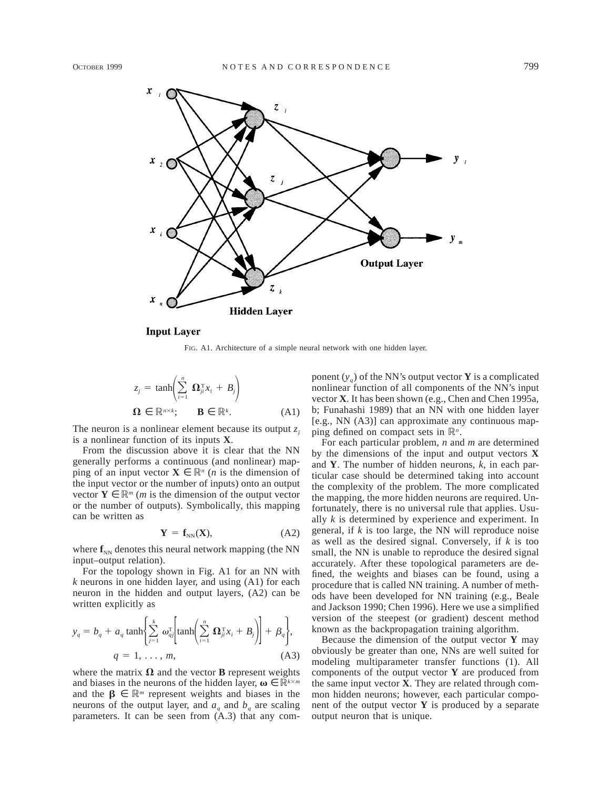

**Input Layer** 

FIG. A1. Architecture of a simple neural network with one hidden layer.

$$
z_j = \tanh\left(\sum_{i=1}^n \mathbf{\Omega}_{ji}^{\mathrm{T}} x_i + B_j\right)
$$
  

$$
\mathbf{\Omega} \in \mathbb{R}^{n \times k}; \quad \mathbf{B} \in \mathbb{R}^k.
$$
 (A1)

The neuron is a nonlinear element because its output  $z_i$ is a nonlinear function of its inputs **X**.

From the discussion above it is clear that the NN generally performs a continuous (and nonlinear) mapping of an input vector  $\mathbf{X} \in \mathbb{R}^n$  (*n* is the dimension of the input vector or the number of inputs) onto an output vector  $Y \in \mathbb{R}^m$  (*m* is the dimension of the output vector or the number of outputs). Symbolically, this mapping can be written as

$$
\mathbf{Y} = \mathbf{f}_{NN}(\mathbf{X}), \tag{A2}
$$

where  $f_{NN}$  denotes this neural network mapping (the NN input–output relation).

For the topology shown in Fig. A1 for an NN with *k* neurons in one hidden layer, and using (A1) for each neuron in the hidden and output layers, (A2) can be written explicitly as

$$
y_q = b_q + a_q \tanh\left\{\sum_{j=1}^k \omega_{qj}^{\mathrm{T}} \left[ \tanh\left(\sum_{i=1}^n \mathbf{\Omega}_{ji}^{\mathrm{T}} x_i + B_j\right) \right] + \beta_q \right\},
$$
  
 
$$
q = 1, \dots, m,
$$
 (A3)

where the matrix  $\Omega$  and the vector **B** represent weights and biases in the neurons of the hidden layer,  $\boldsymbol{\omega} \in \mathbb{R}^{k \times m}$ and the  $\beta \in \mathbb{R}^m$  represent weights and biases in the neurons of the output layer, and  $a_q$  and  $b_q$  are scaling parameters. It can be seen from (A.3) that any component  $(y_q)$  of the NN's output vector **Y** is a complicated nonlinear function of all components of the NN's input vector **X**. It has been shown (e.g., Chen and Chen 1995a, b; Funahashi 1989) that an NN with one hidden layer [e.g., NN (A3)] can approximate any continuous mapping defined on compact sets in R*n*.

For each particular problem, *n* and *m* are determined by the dimensions of the input and output vectors **X** and **Y**. The number of hidden neurons, *k,* in each particular case should be determined taking into account the complexity of the problem. The more complicated the mapping, the more hidden neurons are required. Unfortunately, there is no universal rule that applies. Usually *k* is determined by experience and experiment. In general, if *k* is too large, the NN will reproduce noise as well as the desired signal. Conversely, if *k* is too small, the NN is unable to reproduce the desired signal accurately. After these topological parameters are defined, the weights and biases can be found, using a procedure that is called NN training. A number of methods have been developed for NN training (e.g., Beale and Jackson 1990; Chen 1996). Here we use a simplified version of the steepest (or gradient) descent method known as the backpropagation training algorithm.

Because the dimension of the output vector **Y** may obviously be greater than one, NNs are well suited for modeling multiparameter transfer functions (1). All components of the output vector **Y** are produced from the same input vector **X**. They are related through common hidden neurons; however, each particular component of the output vector **Y** is produced by a separate output neuron that is unique.